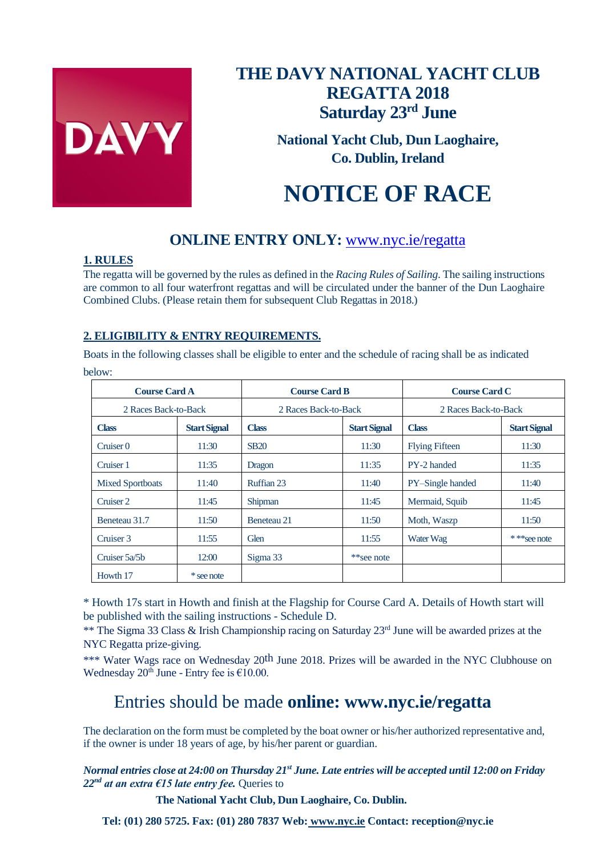

# **THE DAVY NATIONAL YACHT CLUB REGATTA 2018 Saturday 23rd June**

**National Yacht Club, Dun Laoghaire, Co. Dublin, Ireland**

# **NOTICE OF RACE**

## **ONLINE ENTRY ONLY:** [www.nyc.ie/regatta](http://www.nyc.ie/regatta)

### **1. RULES**

The regatta will be governed by the rules as defined in the *Racing Rules of Sailing*. The sailing instructions are common to all four waterfront regattas and will be circulated under the banner of the Dun Laoghaire Combined Clubs. (Please retain them for subsequent Club Regattas in 2018.)

## **2. ELIGIBILITY & ENTRY REQUIREMENTS.**

Boats in the following classes shall be eligible to enter and the schedule of racing shall be as indicated below:

| <b>Course Card A</b>    |                     | <b>Course Card B</b> |                     | <b>Course Card C</b>  |                     |
|-------------------------|---------------------|----------------------|---------------------|-----------------------|---------------------|
| 2 Races Back-to-Back    |                     | 2 Races Back-to-Back |                     | 2 Races Back-to-Back  |                     |
| <b>Class</b>            | <b>Start Signal</b> | <b>Class</b>         | <b>Start Signal</b> | <b>Class</b>          | <b>Start Signal</b> |
| Cruiser <sub>0</sub>    | 11:30               | <b>SB20</b>          | 11:30               | <b>Flying Fifteen</b> | 11:30               |
| Cruiser 1               | 11:35               | Dragon               | 11:35               | PY-2 handed           | 11:35               |
| <b>Mixed Sportboats</b> | 11:40               | Ruffian 23           | 11:40               | PY-Single handed      | 11:40               |
| Cruiser 2               | 11:45               | Shipman              | 11:45               | Mermaid, Squib        | 11:45               |
| Beneteau 31.7           | 11:50               | Beneteau 21          | 11:50               | Moth, Waszp           | 11:50               |
| Cruiser 3               | 11:55               | Glen                 | 11:55               | Water Wag             | ***see note         |
| Cruiser 5a/5b           | 12:00               | Sigma 33             | **see note          |                       |                     |
| Howth 17                | * see note          |                      |                     |                       |                     |

\* Howth 17s start in Howth and finish at the Flagship for Course Card A. Details of Howth start will be published with the sailing instructions - Schedule D.

\*\* The Sigma 33 Class & Irish Championship racing on Saturday 23<sup>rd</sup> June will be awarded prizes at the NYC Regatta prize-giving.

\*\*\* Water Wags race on Wednesday 20<sup>th</sup> June 2018. Prizes will be awarded in the NYC Clubhouse on Wednesday  $20^{th}$  June - Entry fee is  $£10.00$ .

## Entries should be made **online: www.nyc.ie/regatta**

The declaration on the form must be completed by the boat owner or his/her authorized representative and, if the owner is under 18 years of age, by his/her parent or guardian.

*Normal entries close at 24:00 on Thursday 21st June. Late entries will be accepted until 12:00 on Friday*   $22<sup>nd</sup>$  *at an extra €15 late entry fee.* Queries to

**The National Yacht Club, Dun Laoghaire, Co. Dublin.** 

**Tel: (01) 280 5725. Fax: (01) 280 7837 Web: www.nyc.ie Contact: reception@nyc.ie**